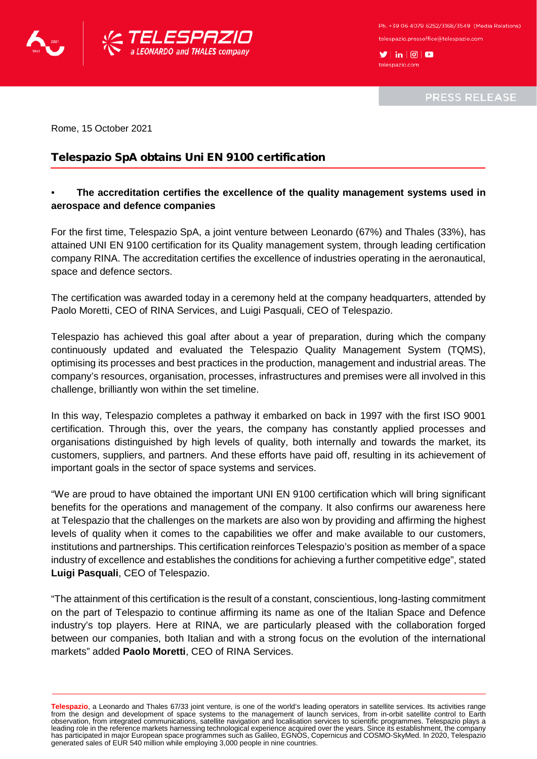

Ph. +39 06 4079 6252/3168/3549 (Media Relations) telespazio.pressoffice@telespazio.com

 $\blacktriangleright$  in  $\lvert \textcircled{e} \rvert$   $\blacksquare$ telespazio.com

**PRESS RELEASE** 

Rome, 15 October 2021

## Telespazio SpA obtains Uni EN 9100 certification

## • **The accreditation certifies the excellence of the quality management systems used in aerospace and defence companies**

For the first time, Telespazio SpA, a joint venture between Leonardo (67%) and Thales (33%), has attained UNI EN 9100 certification for its Quality management system, through leading certification company RINA. The accreditation certifies the excellence of industries operating in the aeronautical, space and defence sectors.

The certification was awarded today in a ceremony held at the company headquarters, attended by Paolo Moretti, CEO of RINA Services, and Luigi Pasquali, CEO of Telespazio.

Telespazio has achieved this goal after about a year of preparation, during which the company continuously updated and evaluated the Telespazio Quality Management System (TQMS), optimising its processes and best practices in the production, management and industrial areas. The company's resources, organisation, processes, infrastructures and premises were all involved in this challenge, brilliantly won within the set timeline.

In this way, Telespazio completes a pathway it embarked on back in 1997 with the first ISO 9001 certification. Through this, over the years, the company has constantly applied processes and organisations distinguished by high levels of quality, both internally and towards the market, its customers, suppliers, and partners. And these efforts have paid off, resulting in its achievement of important goals in the sector of space systems and services.

"We are proud to have obtained the important UNI EN 9100 certification which will bring significant benefits for the operations and management of the company. It also confirms our awareness here at Telespazio that the challenges on the markets are also won by providing and affirming the highest levels of quality when it comes to the capabilities we offer and make available to our customers, institutions and partnerships. This certification reinforces Telespazio's position as member of a space industry of excellence and establishes the conditions for achieving a further competitive edge", stated **Luigi Pasquali**, CEO of Telespazio.

"The attainment of this certification is the result of a constant, conscientious, long-lasting commitment on the part of Telespazio to continue affirming its name as one of the Italian Space and Defence industry's top players. Here at RINA, we are particularly pleased with the collaboration forged between our companies, both Italian and with a strong focus on the evolution of the international markets" added **Paolo Moretti**, CEO of RINA Services.

Telespazio, a Leonardo and Thales 67/33 joint venture, is one of the world's leading operators in satellite services. Its activities range<br>from the design and development of space systems to the management of launch servic leading role in the reference markets harnessing technological experience acquired over the years. Since its establishment, the company has participated in major European space programmes such as Galileo, EGNOS, Copernicus and COSMO-SkyMed. In 2020, Telespazio generated sales of EUR 540 million while employing 3,000 people in nine countries.